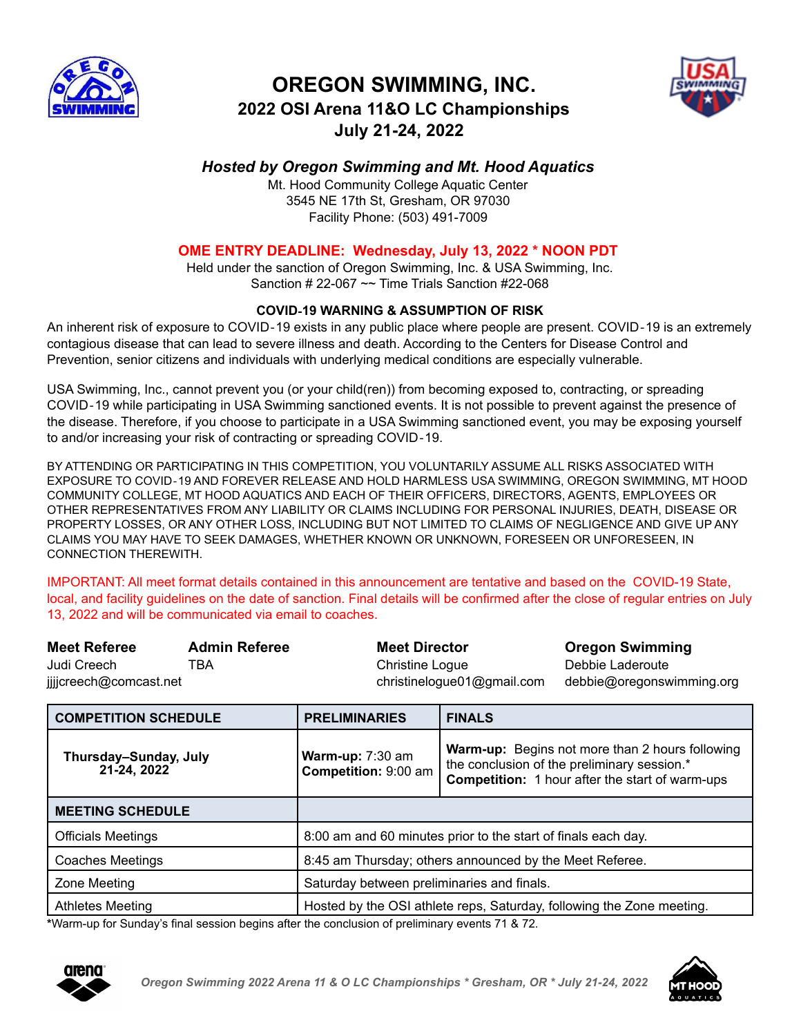

# **OREGON SWIMMING, INC.**



# **2022 OSI Arena 11&O LC Championships July 21-24, 2022**

## *Hosted by Oregon Swimming and Mt. Hood Aquatics*

Mt. Hood Community College Aquatic Center 3545 NE 17th St, Gresham, OR 97030 Facility Phone: (503) 491-7009

## **OME ENTRY DEADLINE: Wednesday, July 13, 2022 \* NOON PDT**

Held under the sanction of Oregon Swimming, Inc. & USA Swimming, Inc. Sanction  $\#$  22-067  $\sim$  Time Trials Sanction  $\#22$ -068

## **COVID**‐**19 WARNING & ASSUMPTION OF RISK**

An inherent risk of exposure to COVID‐19 exists in any public place where people are present. COVID‐19 is an extremely contagious disease that can lead to severe illness and death. According to the Centers for Disease Control and Prevention, senior citizens and individuals with underlying medical conditions are especially vulnerable.

USA Swimming, Inc., cannot prevent you (or your child(ren)) from becoming exposed to, contracting, or spreading COVID‐19 while participating in USA Swimming sanctioned events. It is not possible to prevent against the presence of the disease. Therefore, if you choose to participate in a USA Swimming sanctioned event, you may be exposing yourself to and/or increasing your risk of contracting or spreading COVID‐19.

BY ATTENDING OR PARTICIPATING IN THIS COMPETITION, YOU VOLUNTARILY ASSUME ALL RISKS ASSOCIATED WITH EXPOSURE TO COVID‐19 AND FOREVER RELEASE AND HOLD HARMLESS USA SWIMMING, OREGON SWIMMING, MT HOOD COMMUNITY COLLEGE, MT HOOD AQUATICS AND EACH OF THEIR OFFICERS, DIRECTORS, AGENTS, EMPLOYEES OR OTHER REPRESENTATIVES FROM ANY LIABILITY OR CLAIMS INCLUDING FOR PERSONAL INJURIES, DEATH, DISEASE OR PROPERTY LOSSES, OR ANY OTHER LOSS, INCLUDING BUT NOT LIMITED TO CLAIMS OF NEGLIGENCE AND GIVE UP ANY CLAIMS YOU MAY HAVE TO SEEK DAMAGES, WHETHER KNOWN OR UNKNOWN, FORESEEN OR UNFORESEEN, IN CONNECTION THEREWITH.

IMPORTANT: All meet format details contained in this announcement are tentative and based on the COVID-19 State, local, and facility guidelines on the date of sanction. Final details will be confirmed after the close of regular entries on July 13, 2022 and will be communicated via email to coaches.

| <b>Meet Referee</b>    | <b>Admin Referee</b> | <b>Meet Director</b>       | <b>Oregon Swimming</b>    |
|------------------------|----------------------|----------------------------|---------------------------|
| Judi Creech            | TBA                  | Christine Loque            | Debbie Laderoute          |
| jjjjcreech@comcast.net |                      | christinelogue01@gmail.com | debbie@oregonswimming.org |

| <b>COMPETITION SCHEDULE</b>          | <b>PRELIMINARIES</b>                                                  | <b>FINALS</b>                                                                                                                                                   |
|--------------------------------------|-----------------------------------------------------------------------|-----------------------------------------------------------------------------------------------------------------------------------------------------------------|
| Thursday-Sunday, July<br>21-24, 2022 | Warm-up: $7:30$ am<br>Competition: 9:00 am                            | <b>Warm-up:</b> Begins not more than 2 hours following<br>the conclusion of the preliminary session.*<br><b>Competition:</b> 1 hour after the start of warm-ups |
| <b>MEETING SCHEDULE</b>              |                                                                       |                                                                                                                                                                 |
| <b>Officials Meetings</b>            |                                                                       | 8:00 am and 60 minutes prior to the start of finals each day.                                                                                                   |
| <b>Coaches Meetings</b>              | 8:45 am Thursday; others announced by the Meet Referee.               |                                                                                                                                                                 |
| Zone Meeting                         | Saturday between preliminaries and finals.                            |                                                                                                                                                                 |
| <b>Athletes Meeting</b>              | Hosted by the OSI athlete reps, Saturday, following the Zone meeting. |                                                                                                                                                                 |

**\***Warm-up for Sunday's final session begins after the conclusion of preliminary events 71 & 72.



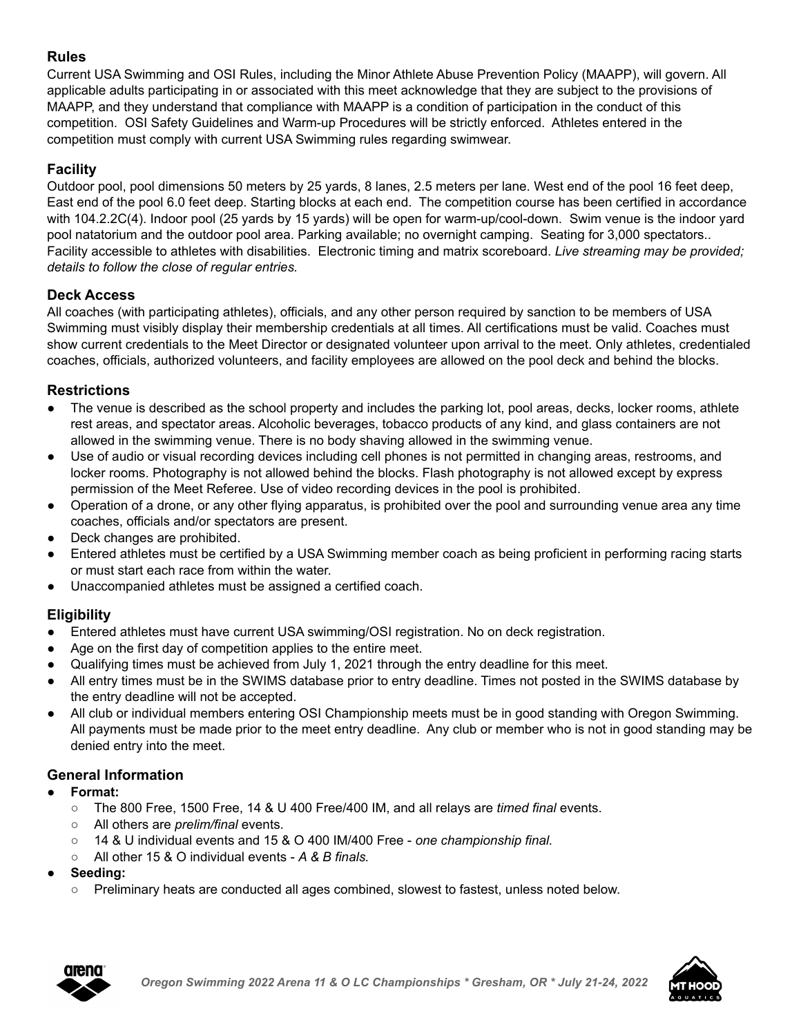## **Rules**

Current USA Swimming and OSI Rules, including the Minor Athlete Abuse Prevention Policy (MAAPP), will govern. All applicable adults participating in or associated with this meet acknowledge that they are subject to the provisions of MAAPP, and they understand that compliance with MAAPP is a condition of participation in the conduct of this competition. OSI Safety Guidelines and Warm-up Procedures will be strictly enforced. Athletes entered in the competition must comply with current USA Swimming rules regarding swimwear.

## **Facility**

Outdoor pool, pool dimensions 50 meters by 25 yards, 8 lanes, 2.5 meters per lane. West end of the pool 16 feet deep, East end of the pool 6.0 feet deep. Starting blocks at each end. The competition course has been certified in accordance with 104.2.2C(4). Indoor pool (25 yards by 15 yards) will be open for warm-up/cool-down. Swim venue is the indoor yard pool natatorium and the outdoor pool area. Parking available; no overnight camping. Seating for 3,000 spectators.. Facility accessible to athletes with disabilities. Electronic timing and matrix scoreboard. *Live streaming may be provided; details to follow the close of regular entries.*

## **Deck Access**

All coaches (with participating athletes), officials, and any other person required by sanction to be members of USA Swimming must visibly display their membership credentials at all times. All certifications must be valid. Coaches must show current credentials to the Meet Director or designated volunteer upon arrival to the meet. Only athletes, credentialed coaches, officials, authorized volunteers, and facility employees are allowed on the pool deck and behind the blocks.

## **Restrictions**

- The venue is described as the school property and includes the parking lot, pool areas, decks, locker rooms, athlete rest areas, and spectator areas. Alcoholic beverages, tobacco products of any kind, and glass containers are not allowed in the swimming venue. There is no body shaving allowed in the swimming venue.
- Use of audio or visual recording devices including cell phones is not permitted in changing areas, restrooms, and locker rooms. Photography is not allowed behind the blocks. Flash photography is not allowed except by express permission of the Meet Referee. Use of video recording devices in the pool is prohibited.
- Operation of a drone, or any other flying apparatus, is prohibited over the pool and surrounding venue area any time coaches, officials and/or spectators are present.
- Deck changes are prohibited.
- Entered athletes must be certified by a USA Swimming member coach as being proficient in performing racing starts or must start each race from within the water.
- Unaccompanied athletes must be assigned a certified coach.

## **Eligibility**

- Entered athletes must have current USA swimming/OSI registration. No on deck registration.
- Age on the first day of competition applies to the entire meet.
- Qualifying times must be achieved from July 1, 2021 through the entry deadline for this meet.
- All entry times must be in the SWIMS database prior to entry deadline. Times not posted in the SWIMS database by the entry deadline will not be accepted.
- All club or individual members entering OSI Championship meets must be in good standing with Oregon Swimming. All payments must be made prior to the meet entry deadline. Any club or member who is not in good standing may be denied entry into the meet.

## **General Information**

- **● Format:**
	- The 800 Free, 1500 Free, 14 & U 400 Free/400 IM, and all relays are *timed final* events.
	- All others are *prelim/final* events.
	- 14 & U individual events and 15 & O 400 IM/400 Free *one championship final.*
	- All other 15 & O individual events *A & B finals.*
- **● Seeding:**
	- Preliminary heats are conducted all ages combined, slowest to fastest, unless noted below.



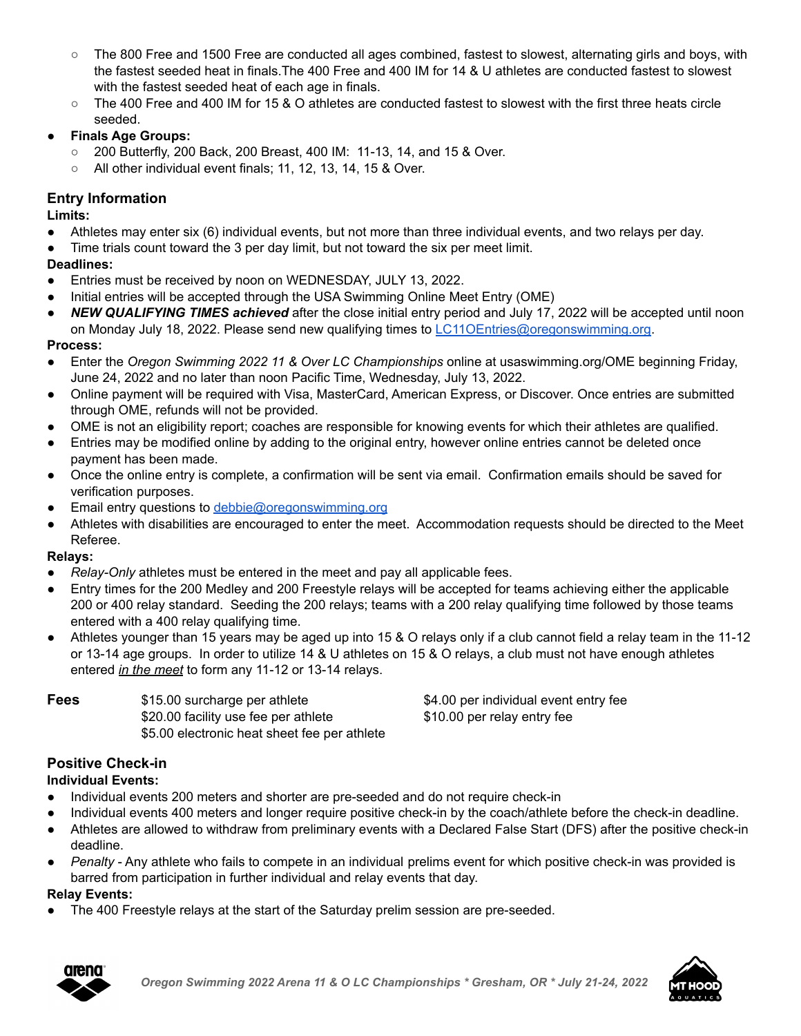- The 800 Free and 1500 Free are conducted all ages combined, fastest to slowest, alternating girls and boys, with the fastest seeded heat in finals.The 400 Free and 400 IM for 14 & U athletes are conducted fastest to slowest with the fastest seeded heat of each age in finals.
- The 400 Free and 400 IM for 15 & O athletes are conducted fastest to slowest with the first three heats circle seeded.
- **● Finals Age Groups:**
	- 200 Butterfly, 200 Back, 200 Breast, 400 IM: 11-13, 14, and 15 & Over.
	- All other individual event finals; 11, 12, 13, 14, 15 & Over.

#### **Entry Information**

**Limits:**

- Athletes may enter six (6) individual events, but not more than three individual events, and two relays per day.
- Time trials count toward the 3 per day limit, but not toward the six per meet limit.

#### **Deadlines:**

- Entries must be received by noon on WEDNESDAY, JULY 13, 2022.
- Initial entries will be accepted through the USA Swimming Online Meet Entry (OME)
- **NEW QUALIFYING TIMES achieved** after the close initial entry period and July 17, 2022 will be accepted until noon on Monday July 18, 2022. Please send new qualifying times to [LC11OEntries@oregonswimming.org.](mailto:LC11OEntries@oregonswimming.org)

**Process:**

- Enter the *Oregon Swimming 2022 11 & Over LC Championships* online at usaswimming.org/OME beginning Friday, June 24, 2022 and no later than noon Pacific Time, Wednesday, July 13, 2022.
- Online payment will be required with Visa, MasterCard, American Express, or Discover. Once entries are submitted through OME, refunds will not be provided.
- OME is not an eligibility report; coaches are responsible for knowing events for which their athletes are qualified.
- Entries may be modified online by adding to the original entry, however online entries cannot be deleted once payment has been made.
- Once the online entry is complete, a confirmation will be sent via email. Confirmation emails should be saved for verification purposes.
- Email entry questions to [debbie@oregonswimming.org](mailto:office@oregonswimming.org)
- Athletes with disabilities are encouraged to enter the meet. Accommodation requests should be directed to the Meet Referee.

#### **Relays:**

- *Relay-Only* athletes must be entered in the meet and pay all applicable fees.
- Entry times for the 200 Medley and 200 Freestyle relays will be accepted for teams achieving either the applicable 200 or 400 relay standard. Seeding the 200 relays; teams with a 200 relay qualifying time followed by those teams entered with a 400 relay qualifying time.
- Athletes younger than 15 years may be aged up into 15 & O relays only if a club cannot field a relay team in the 11-12 or 13-14 age groups. In order to utilize 14 & U athletes on 15 & O relays, a club must not have enough athletes entered *in the meet* to form any 11-12 or 13-14 relays.

\$20.00 facility use fee per athlete \$10.00 per relay entry fee \$5.00 electronic heat sheet fee per athlete

**Fees**  $$15.00$  surcharge per athlete  $$4.00$  per individual event entry fee

## **Positive Check-in**

## **Individual Events:**

- Individual events 200 meters and shorter are pre-seeded and do not require check-in
- Individual events 400 meters and longer require positive check-in by the coach/athlete before the check-in deadline.
- Athletes are allowed to withdraw from preliminary events with a Declared False Start (DFS) after the positive check-in deadline.
- *Penalty* Any athlete who fails to compete in an individual prelims event for which positive check-in was provided is barred from participation in further individual and relay events that day.

## **Relay Events:**

The 400 Freestyle relays at the start of the Saturday prelim session are pre-seeded.



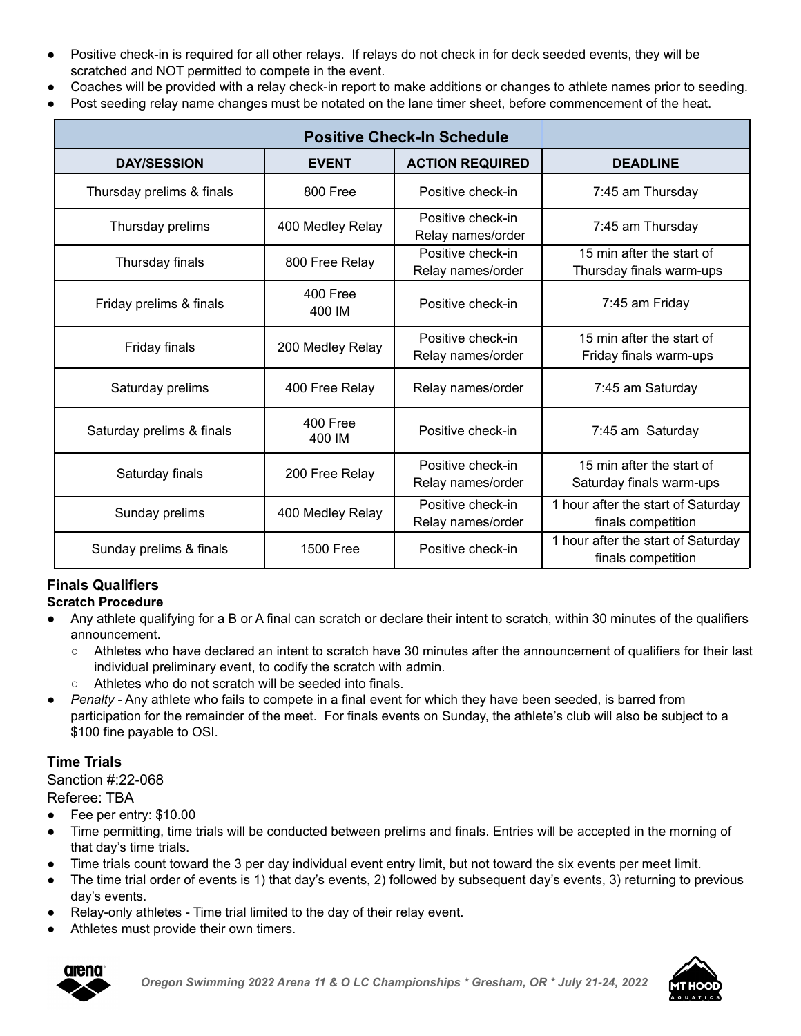- Positive check-in is required for all other relays. If relays do not check in for deck seeded events, they will be scratched and NOT permitted to compete in the event.
- Coaches will be provided with a relay check-in report to make additions or changes to athlete names prior to seeding.
- Post seeding relay name changes must be notated on the lane timer sheet, before commencement of the heat.

| <b>DAY/SESSION</b>        | <b>EVENT</b>       | <b>ACTION REQUIRED</b>                 | <b>DEADLINE</b>                                          |
|---------------------------|--------------------|----------------------------------------|----------------------------------------------------------|
| Thursday prelims & finals | 800 Free           | Positive check-in                      | 7:45 am Thursday                                         |
| Thursday prelims          | 400 Medley Relay   | Positive check-in<br>Relay names/order | 7:45 am Thursday                                         |
| Thursday finals           | 800 Free Relay     | Positive check-in<br>Relay names/order | 15 min after the start of<br>Thursday finals warm-ups    |
| Friday prelims & finals   | 400 Free<br>400 IM | Positive check-in                      | 7:45 am Friday                                           |
| Friday finals             | 200 Medley Relay   | Positive check-in<br>Relay names/order | 15 min after the start of<br>Friday finals warm-ups      |
| Saturday prelims          | 400 Free Relay     | Relay names/order                      | 7:45 am Saturday                                         |
| Saturday prelims & finals | 400 Free<br>400 IM | Positive check-in                      | 7:45 am Saturday                                         |
| Saturday finals           | 200 Free Relay     | Positive check-in<br>Relay names/order | 15 min after the start of<br>Saturday finals warm-ups    |
| Sunday prelims            | 400 Medley Relay   | Positive check-in<br>Relay names/order | 1 hour after the start of Saturday<br>finals competition |
| Sunday prelims & finals   | <b>1500 Free</b>   | Positive check-in                      | 1 hour after the start of Saturday<br>finals competition |

## **Finals Qualifiers**

**Scratch Procedure**

- Any athlete qualifying for a B or A final can scratch or declare their intent to scratch, within 30 minutes of the qualifiers announcement.
	- Athletes who have declared an intent to scratch have 30 minutes after the announcement of qualifiers for their last individual preliminary event, to codify the scratch with admin.
	- Athletes who do not scratch will be seeded into finals.
- *Penalty* Any athlete who fails to compete in a final event for which they have been seeded, is barred from participation for the remainder of the meet. For finals events on Sunday, the athlete's club will also be subject to a \$100 fine payable to OSI.

## **Time Trials**

Sanction #:22-068

Referee: TBA

- Fee per entry: \$10.00
- Time permitting, time trials will be conducted between prelims and finals. Entries will be accepted in the morning of that day's time trials.
- Time trials count toward the 3 per day individual event entry limit, but not toward the six events per meet limit.
- The time trial order of events is 1) that day's events, 2) followed by subsequent day's events, 3) returning to previous day's events.
- Relay-only athletes Time trial limited to the day of their relay event.
- Athletes must provide their own timers.



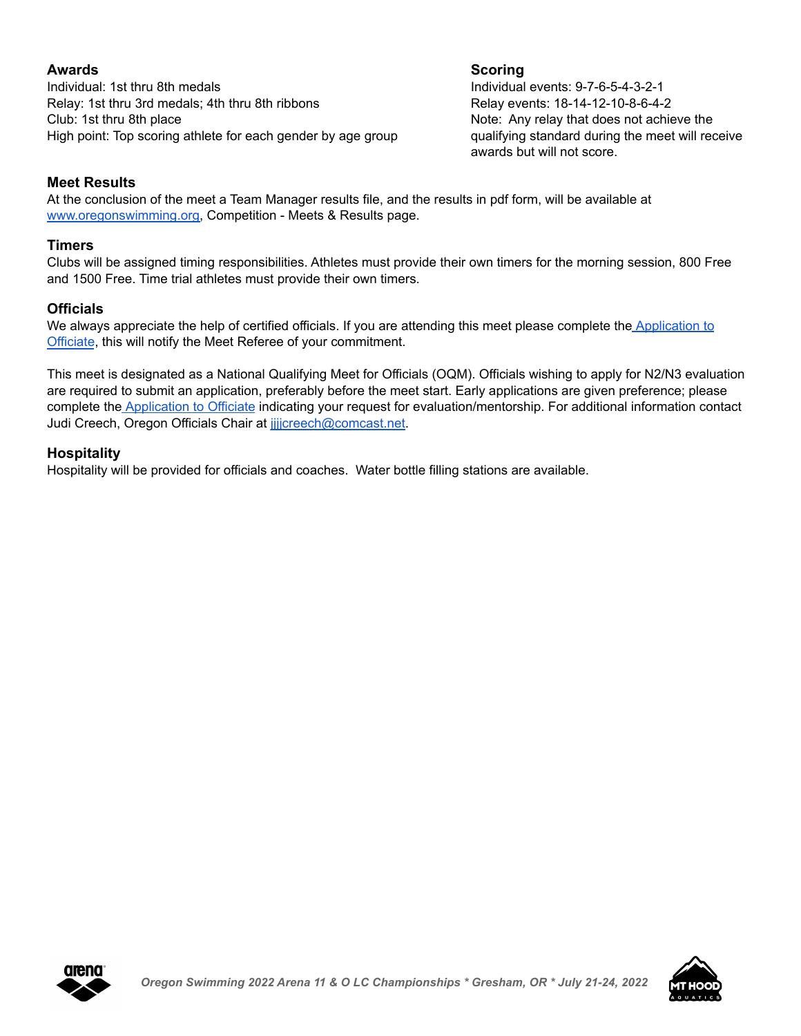Individual: 1st thru 8th medals Individual events: 9-7-6-5-4-3-2-1 Relay: 1st thru 3rd medals: 4th thru 8th ribbons Relay events: 18-14-12-10-8-6-4-2 Club: 1st thru 8th place Club: 1st thru 8th place Note: Any relay that does not achieve the High point: Top scoring athlete for each gender by age group qualifying standard during the meet will receive

## **Awards Scoring**

awards but will not score.

#### **Meet Results**

At the conclusion of the meet a Team Manager results file, and the results in pdf form, will be available at [www.oregonswimming.org,](http://www.oregonswimming.org) Competition - Meets & Results page.

#### **Timers**

Clubs will be assigned timing responsibilities. Athletes must provide their own timers for the morning session, 800 Free and 1500 Free. Time trial athletes must provide their own timers.

#### **Officials**

We always appreciate the help of certified officials. If you are attending this meet please complete the [Application](https://forms.gle/hw51uS3RpeNvE4WD8) to [Officiate](https://forms.gle/hw51uS3RpeNvE4WD8), this will notify the Meet Referee of your commitment.

This meet is designated as a National Qualifying Meet for Officials (OQM). Officials wishing to apply for N2/N3 evaluation are required to submit an application, preferably before the meet start. Early applications are given preference; please complete the [Application](https://forms.gle/hw51uS3RpeNvE4WD8) to Officiate indicating your request for evaluation/mentorship. For additional information contact Judi Creech, Oregon Officials Chair at *jjjcreech@comcast.net*.

#### **Hospitality**

Hospitality will be provided for officials and coaches. Water bottle filling stations are available.



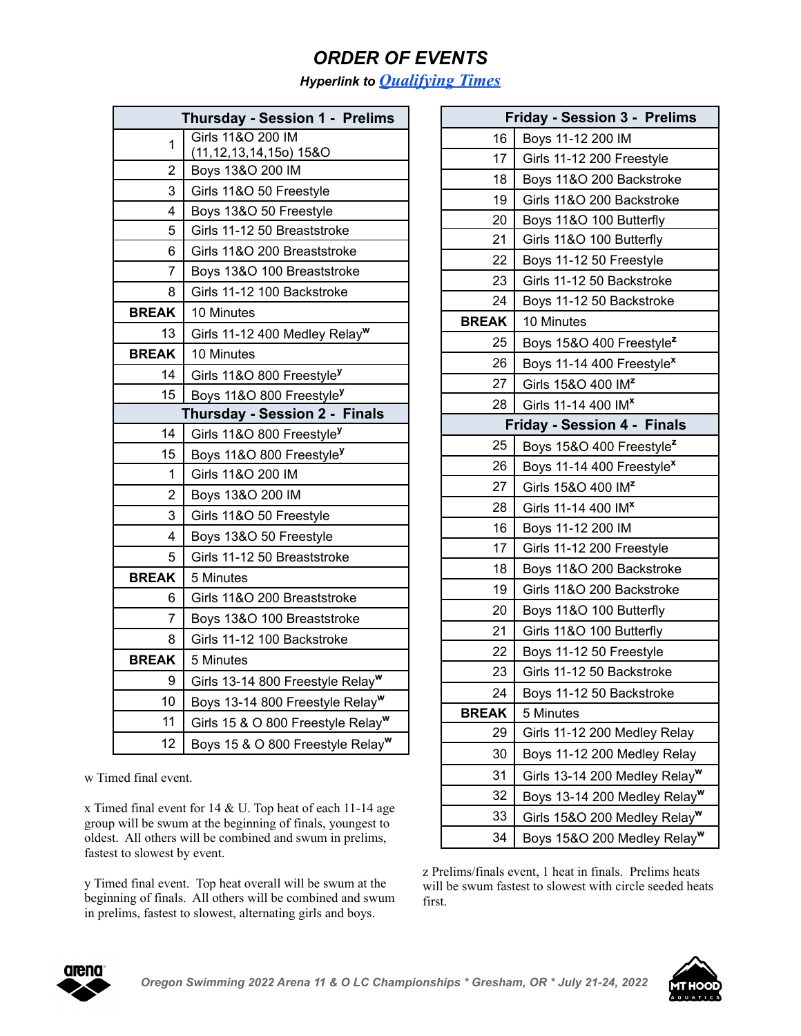# *ORDER OF EVENTS*

*Hyperlink to [Qualifying](https://www.teamunify.com/wzorlsc/UserFiles/Image/QuickUpload/2022-osi-11-over-champs-qual-times_041774.pdf) Times*

|                | Thursday - Session 1 - Prelims                  |
|----------------|-------------------------------------------------|
| 1              | Girls 11&O 200 IM<br>(11, 12, 13, 14, 150) 15&O |
| $\overline{2}$ | Boys 13&O 200 IM                                |
| 3              | Girls 11&O 50 Freestyle                         |
| 4              | Boys 13&O 50 Freestyle                          |
| 5              | Girls 11-12 50 Breaststroke                     |
| 6              | Girls 11&O 200 Breaststroke                     |
| 7              | Boys 13&O 100 Breaststroke                      |
| 8              | Girls 11-12 100 Backstroke                      |
| <b>BREAK</b>   | 10 Minutes                                      |
| 13             | Girls 11-12 400 Medley Relay <sup>w</sup>       |
| <b>BREAK</b>   | 10 Minutes                                      |
| 14             | Girls 11&O 800 Freestyle <sup>y</sup>           |
| 15             | Boys 11&O 800 Freestyle <sup>y</sup>            |
|                | <b>Thursday - Session 2 - Finals</b>            |
| 14             | Girls 11&O 800 Freestyle <sup>y</sup>           |
| 15             | Boys 11&O 800 Freestyle <sup>y</sup>            |
| 1              | Girls 11&O 200 IM                               |
| 2              | Boys 13&O 200 IM                                |
| 3              | Girls 11&O 50 Freestyle                         |
| 4              | Boys 13&O 50 Freestyle                          |
| 5              | Girls 11-12 50 Breaststroke                     |
| <b>BREAK</b>   | 5 Minutes                                       |
| 6              | Girls 11&O 200 Breaststroke                     |
| 7              | Boys 13&O 100 Breaststroke                      |
| 8              | Girls 11-12 100 Backstroke                      |
| <b>BREAK</b>   | 5 Minutes                                       |
| 9              | Girls 13-14 800 Freestyle Relay <sup>w</sup>    |
| 10             | Boys 13-14 800 Freestyle Relay <sup>w</sup>     |
| 11             | Girls 15 & O 800 Freestyle Relay <sup>w</sup>   |
| 12             | Boys 15 & O 800 Freestyle Relay <sup>w</sup>    |

w Timed final event.

x Timed final event for 14 & U. Top heat of each 11-14 age group will be swum at the beginning of finals, youngest to oldest. All others will be combined and swum in prelims, fastest to slowest by event.

y Timed final event. Top heat overall will be swum at the beginning of finals. All others will be combined and swum in prelims, fastest to slowest, alternating girls and boys.

|              | <b>Friday - Session 3 - Prelims</b>       |
|--------------|-------------------------------------------|
| 16           | Boys 11-12 200 IM                         |
| 17           | Girls 11-12 200 Freestyle                 |
| 18           | Boys 11&O 200 Backstroke                  |
| 19           | Girls 11&O 200 Backstroke                 |
| 20           | Boys 11&O 100 Butterfly                   |
| 21           | Girls 11&O 100 Butterfly                  |
| 22           | Boys 11-12 50 Freestyle                   |
| 23           | Girls 11-12 50 Backstroke                 |
| 24           | Boys 11-12 50 Backstroke                  |
| <b>BREAK</b> | 10 Minutes                                |
| 25           | Boys 15&O 400 Freestyle <sup>z</sup>      |
| 26           | Boys 11-14 400 Freestyle <sup>x</sup>     |
| 27           | Girls 15&O 400 IM <sup>2</sup>            |
| 28           | Girls 11-14 400 IM <sup>x</sup>           |
|              | <b>Friday - Session 4 - Finals</b>        |
| 25           | Boys 15&O 400 Freestyle <sup>z</sup>      |
| 26           | Boys 11-14 400 Freestyle <sup>x</sup>     |
| 27           | Girls 15&O 400 IM <sup>2</sup>            |
| 28           | Girls 11-14 400 IM <sup>x</sup>           |
| 16           | Boys 11-12 200 IM                         |
| 17           | Girls 11-12 200 Freestyle                 |
| 18           | Boys 11&O 200 Backstroke                  |
| 19           | Girls 11&O 200 Backstroke                 |
| 20           | Boys 11&O 100 Butterfly                   |
| 21           | Girls 11&O 100 Butterfly                  |
| 22           | Boys 11-12 50 Freestyle                   |
| 23           | Girls 11-12 50 Backstroke                 |
| 24           | Boys 11-12 50 Backstroke                  |
| <b>BREAK</b> | 5 Minutes                                 |
| 29           | Girls 11-12 200 Medley Relay              |
| 30           | Boys 11-12 200 Medley Relay               |
| 31           | Girls 13-14 200 Medley Relay <sup>w</sup> |
| 32           | Boys 13-14 200 Medley Relay <sup>w</sup>  |
| 33           | Girls 15&O 200 Medley Relay <sup>w</sup>  |
| 34           | Boys 15&O 200 Medley Relay <sup>w</sup>   |

z Prelims/finals event, 1 heat in finals. Prelims heats will be swum fastest to slowest with circle seeded heats first.